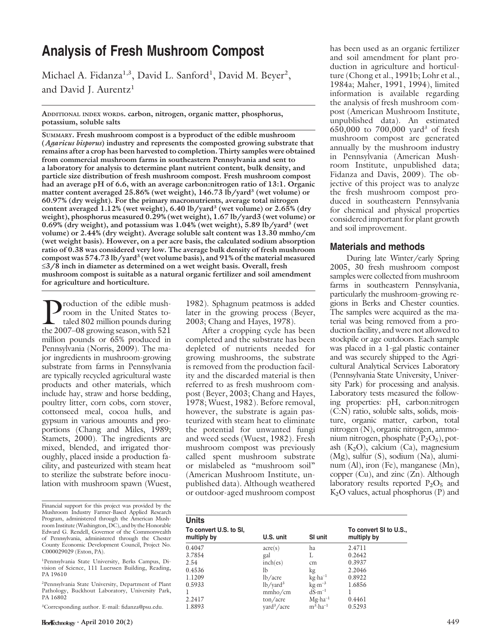# Analysis of Fresh Mushroom Compost

Michael A. Fidanza<sup>1,3</sup>, David L. Sanford<sup>1</sup>, David M. Beyer<sup>2</sup>, and David J. Aurentz<sup>1</sup>

ADDITIONAL INDEX WORDS. carbon, nitrogen, organic matter, phosphorus, potassium, soluble salts

SUMMARY. Fresh mushroom compost is a byproduct of the edible mushroom (Agaricus bisporus) industry and represents the composted growing substrate that remains after a crop has been harvested to completion. Thirty samples were obtained from commercial mushroom farms in southeastern Pennsylvania and sent to a laboratory for analysis to determine plant nutrient content, bulk density, and particle size distribution of fresh mushroom compost. Fresh mushroom compost had an average pH of 6.6, with an average carbon:nitrogen ratio of 13:1. Organic matter content averaged 25.86% (wet weight), 146.73 lb/yard<sup>3</sup> (wet volume) or 60.97% (dry weight). For the primary macronutrients, average total nitrogen content averaged  $1.12\%$  (wet weight), 6.40 lb/yard<sup>3</sup> (wet volume) or 2.65% (dry weight), phosphorus measured 0.29% (wet weight), 1.67 lb/yard3 (wet volume) or  $0.69\%$  (dry weight), and potassium was  $1.04\%$  (wet weight),  $5.89$  lb/yard<sup>3</sup> (wet volume) or 2.44% (dry weight). Average soluble salt content was 13.30 mmho/cm (wet weight basis). However, on a per acre basis, the calculated sodium absorption ratio of 0.38 was considered very low. The average bulk density of fresh mushroom compost was  $574.73$  lb/yard<sup>3</sup> (wet volume basis), and  $91\%$  of the material measured  $\leq$ 3/8 inch in diameter as determined on a wet weight basis. Overall, fresh mushroom compost is suitable as a natural organic fertilizer and soil amendment for agriculture and horticulture.

Production of the edible mush-<br>room in the United States to-<br>taled 802 million pounds during<br>the 2007–08 growing season, with 521 room in the United States totaled 802 million pounds during the 2007–08 growing season, with 521 million pounds or 65% produced in Pennsylvania (Norris, 2009). The major ingredients in mushroom-growing substrate from farms in Pennsylvania are typically recycled agricultural waste products and other materials, which include hay, straw and horse bedding, poultry litter, corn cobs, corn stover, cottonseed meal, cocoa hulls, and gypsum in various amounts and proportions (Chang and Miles, 1989; Stamets, 2000). The ingredients are mixed, blended, and irrigated thoroughly, placed inside a production facility, and pasteurized with steam heat to sterilize the substrate before inoculation with mushroom spawn (Wuest,

Financial support for this project was provided by the Mushroom Industry Farmer-Based Applied Research Program, administered through the American Mushroom Institute (Washington, DC), and by the Honorable Edward G. Rendell, Governor of the Commonwealth of Pennsylvania, administered through the Chester County Economic Development Council, Project No. C000029029 (Exton, PA).

1 Pennsylvania State University, Berks Campus, Division of Science, 111 Luerssen Building, Reading, PA 19610

2 Pennsylvania State University, Department of Plant Pathology, Buckhout Laboratory, University Park, PA 16802

3 Corresponding author. E-mail: fidanza@psu.edu.

1982). Sphagnum peatmoss is added later in the growing process (Beyer, 2003; Chang and Hayes, 1978).

After a cropping cycle has been completed and the substrate has been depleted of nutrients needed for growing mushrooms, the substrate is removed from the production facility and the discarded material is then referred to as fresh mushroom compost (Beyer, 2003; Chang and Hayes, 1978; Wuest, 1982). Before removal, however, the substrate is again pasteurized with steam heat to eliminate the potential for unwanted fungi and weed seeds (Wuest, 1982). Fresh mushroom compost was previously called spent mushroom substrate or mislabeled as ''mushroom soil'' (American Mushroom Institute, unpublished data). Although weathered or outdoor-aged mushroom compost

has been used as an organic fertilizer and soil amendment for plant production in agriculture and horticulture (Chong et al., 1991b; Lohr et al., 1984a; Maher, 1991, 1994), limited information is available regarding the analysis of fresh mushroom compost (American Mushroom Institute, unpublished data). An estimated 650,000 to 700,000 yard<sup>3</sup> of fresh mushroom compost are generated annually by the mushroom industry in Pennsylvania (American Mushroom Institute, unpublished data; Fidanza and Davis, 2009). The objective of this project was to analyze the fresh mushroom compost produced in southeastern Pennsylvania for chemical and physical properties considered important for plant growth and soil improvement.

## Materials and methods

During late Winter/early Spring 2005, 30 fresh mushroom compost samples were collected from mushroom farms in southeastern Pennsylvania, particularly the mushroom-growing regions in Berks and Chester counties. The samples were acquired as the material was being removed from a production facility, and were not allowed to stockpile or age outdoors. Each sample was placed in a 1-gal plastic container and was securely shipped to the Agricultural Analytical Services Laboratory (Pennsylvania State University, University Park) for processing and analysis. Laboratory tests measured the following properties: pH, carbon:nitrogen (C:N) ratio, soluble salts, solids, moisture, organic matter, carbon, total nitrogen (N), organic nitrogen, ammonium nitrogen, phosphate  $(P_2O_5)$ , potash  $(K_2O)$ , calcium  $(Ca)$ , magnesium (Mg), sulfur (S), sodium (Na), aluminum (Al), iron (Fe), manganese (Mn), copper (Cu), and zinc (Zn). Although laboratory results reported  $P_2O_5$  and  $K<sub>2</sub>O$  values, actual phosphorus  $(P)$  and

| Units                                 |                         |                                 |                                       |
|---------------------------------------|-------------------------|---------------------------------|---------------------------------------|
| To convert U.S. to SI,<br>multiply by | U.S. unit               | SI unit                         | To convert SI to U.S.,<br>multiply by |
| 0.4047                                | $\arccos$               | ha                              | 2.4711                                |
| 3.7854                                | gal                     | L                               | 0.2642                                |
| 2.54                                  | inch(es)                | cm                              | 0.3937                                |
| 0.4536                                | lb                      | kg                              | 2.2046                                |
| 1.1209                                | lb/acre                 | $kg \cdot ha^{-1}$              | 0.8922                                |
| 0.5933                                | $lb/$ yard <sup>3</sup> | $\text{kg} \cdot \text{m}^{-3}$ | 1.6856                                |
|                                       | mmho/cm                 | $dS·m^{-1}$                     |                                       |
| 2.2417                                | ton/acre                | $Mg \cdot ha^{-1}$              | 0.4461                                |
| 1.8893                                | vard <sup>3</sup> /acre | $m^3$ -ha <sup>-1</sup>         | 0.5293                                |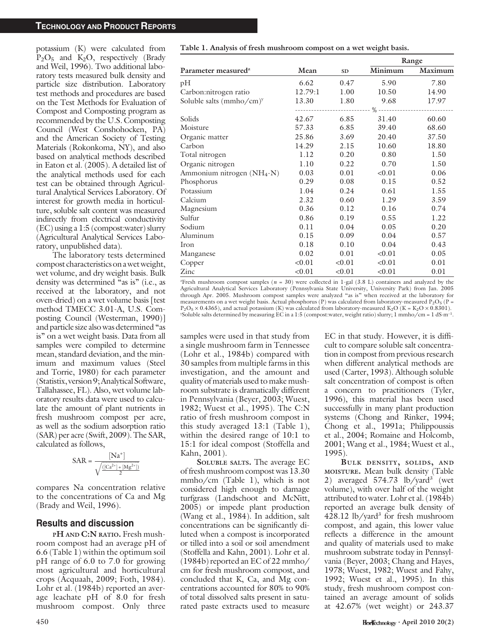#### TECHNOLOGY AND PRODUCT REPORTS

potassium (K) were calculated from  $P_2O_5$  and  $K_2O$ , respectively (Brady and Weil, 1996). Two additional laboratory tests measured bulk density and particle size distribution. Laboratory test methods and procedures are based on the Test Methods for Evaluation of Compost and Composting program as recommended by the U.S. Composting Council (West Conshohocken, PA) and the American Society of Testing Materials (Rokonkoma, NY), and also based on analytical methods described in Eaton et al. (2005). A detailed list of the analytical methods used for each test can be obtained through Agricultural Analytical Services Laboratory. Of interest for growth media in horticulture, soluble salt content was measured indirectly from electrical conductivity (EC) using a 1:5 (compost:water) slurry (Agricultural Analytical Services Laboratory, unpublished data).

The laboratory tests determined compost characteristics on a wet weight, wet volume, and dry weight basis. Bulk density was determined "as is" (i.e., as received at the laboratory, and not oven-dried) on a wet volume basis [test method TMECC 3.01-A, U.S. Composting Council (Westerman, 1990)] and particle size also was determined "as is'' on a wet weight basis. Data from all samples were compiled to determine mean, standard deviation, and the minimum and maximum values (Steel and Torrie, 1980) for each parameter (Statistix,version9;AnalyticalSoftware, Tallahassee, FL). Also, wet volume laboratory results data were used to calculate the amount of plant nutrients in fresh mushroom compost per acre, as well as the sodium adsorption ratio (SAR) per acre (Swift, 2009). The SAR, calculated as follows,

$$
SAR = \frac{[Na^+]}{\sqrt{\frac{([Ca^{2+}]+[Mg^{2+}])}{2}}}
$$

compares Na concentration relative to the concentrations of Ca and Mg (Brady and Weil, 1996).

## Results and discussion

PH AND C:N RATIO. Fresh mushroom compost had an average pH of 6.6 (Table 1) within the optimum soil pH range of 6.0 to 7.0 for growing most agricultural and horticultural crops (Acquaah, 2009; Foth, 1984). Lohr et al. (1984b) reported an average leachate pH of 8.0 for fresh mushroom compost. Only three

|                                        |         |           | Range                            |         |  |
|----------------------------------------|---------|-----------|----------------------------------|---------|--|
| Parameter measured <sup>2</sup>        | Mean    | <b>SD</b> | $\overline{\text{Minimum}}$      | Maximum |  |
| pН                                     | 6.62    | 0.47      | 5.90                             | 7.80    |  |
| Carbon:nitrogen ratio                  | 12.79:1 | 1.00      | 10.50                            | 14.90   |  |
| Soluble salts (mmho/cm) <sup>y</sup>   | 13.30   | 1.80      | 9.68                             | 17.97   |  |
|                                        |         |           | ---------- % ------------------- |         |  |
| Solids                                 | 42.67   | 6.85      | 31.40                            | 60.60   |  |
| Moisture                               | 57.33   | 6.85      | 39.40                            | 68.60   |  |
| Organic matter                         | 25.86   | 3.69      | 20.40                            | 37.50   |  |
| Carbon                                 | 14.29   | 2.15      | 10.60                            | 18.80   |  |
| Total nitrogen                         | 1.12    | 0.20      | 0.80                             | 1.50    |  |
| Organic nitrogen                       | 1.10    | 0.22      | 0.70                             | 1.50    |  |
| Ammonium nitrogen (NH <sub>4</sub> -N) | 0.03    | 0.01      | < 0.01                           | 0.06    |  |
| Phosphorus                             | 0.29    | 0.08      | 0.15                             | 0.52    |  |
| Potassium                              | 1.04    | 0.24      | 0.61                             | 1.55    |  |
| Calcium                                | 2.32    | 0.60      | 1.29                             | 3.59    |  |
| Magnesium                              | 0.36    | 0.12      | 0.16                             | 0.74    |  |
| Sulfur                                 | 0.86    | 0.19      | 0.55                             | 1.22    |  |
| Sodium                                 | 0.11    | 0.04      | 0.05                             | 0.20    |  |
| Aluminum                               | 0.15    | 0.09      | 0.04                             | 0.57    |  |
| Iron                                   | 0.18    | 0.10      | 0.04                             | 0.43    |  |
| Manganese                              | 0.02    | 0.01      | < 0.01                           | 0.05    |  |
| Copper                                 | < 0.01  | < 0.01    | < 0.01                           | 0.01    |  |
| Zinc                                   | < 0.01  | < 0.01    | < 0.01                           | 0.01    |  |

 $z$ Fresh mushroom compost samples ( $n = 30$ ) were collected in 1-gal (3.8 L) containers and analyzed by the Agricultural Analytical Services Laboratory (Pennsylvania State University, University Park) from Jan. 2005 through Apr. 2005. Mushroom compost samples were analyzed ''as is'' when received at the laboratory for measurements on a wet weight basis. Actual phosphorus (P) was calculated from laboratory-measured P<sub>2</sub>O<sub>5</sub> (P =  $P_2O_5 \times 0.4365$ ), and actual potassium (K) was calculated from laboratory-measured K<sub>2</sub>O (K = K<sub>2</sub>O  $\times$  0.8301). Soluble salts determined by measuring EC in a 1:5 (compost:water, weight ratio) slurry; 1 mmho/cm = 1 dS·m<sup>-1</sup>.

samples were used in that study from a single mushroom farm in Tennessee (Lohr et al., 1984b) compared with 30 samples from multiple farms in this investigation, and the amount and quality of materials used to make mushroom substrate is dramatically different in Pennsylvania (Beyer, 2003; Wuest, 1982; Wuest et al., 1995). The C:N ratio of fresh mushroom compost in this study averaged 13:1 (Table 1), within the desired range of 10:1 to 15:1 for ideal compost (Stoffella and Kahn, 2001).

SOLUBLE SALTS. The average EC of fresh mushroom compost was 13.30 mmho/cm (Table 1), which is not considered high enough to damage turfgrass (Landschoot and McNitt, 2005) or impede plant production (Wang et al., 1984). In addition, salt concentrations can be significantly diluted when a compost is incorporated or tilled into a soil or soil amendment (Stoffella and Kahn, 2001). Lohr et al. (1984b) reported an EC of 22 mmho/ cm for fresh mushroom compost, and concluded that K, Ca, and Mg concentrations accounted for 80% to 90% of total dissolved salts present in saturated paste extracts used to measure

EC in that study. However, it is difficult to compare soluble salt concentration in compost from previous research when different analytical methods are used (Carter, 1993). Although soluble salt concentration of compost is often a concern to practitioners (Tyler, 1996), this material has been used successfully in many plant production systems (Chong and Rinker, 1994; Chong et al., 1991a; Philippoussis et al., 2004; Romaine and Holcomb, 2001; Wang et al., 1984; Wuest et al., 1995).

BULK DENSITY, SOLIDS, AND MOISTURE. Mean bulk density (Table 2) averaged 574.73 lb/yard<sup>3</sup> (wet volume), with over half of the weight attributed to water. Lohr et al. (1984b) reported an average bulk density of  $428.12$  lb/yard<sup>3</sup> for fresh mushroom compost, and again, this lower value reflects a difference in the amount and quality of materials used to make mushroom substrate today in Pennsylvania (Beyer, 2003; Chang and Hayes, 1978; Wuest, 1982; Wuest and Fahy, 1992; Wuest et al., 1995). In this study, fresh mushroom compost contained an average amount of solids at 42.67% (wet weight) or 243.37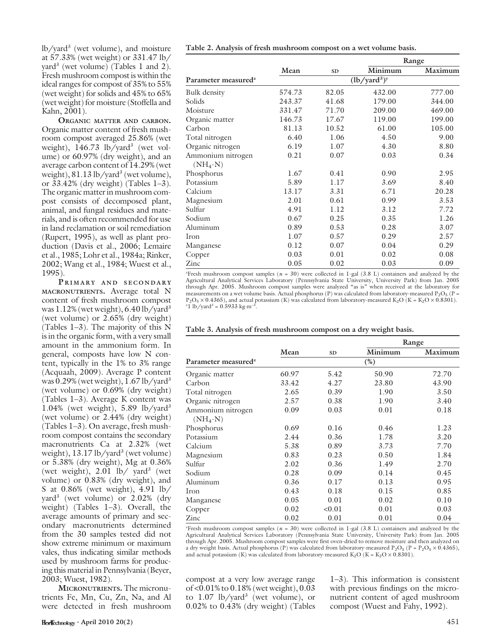lb/yard3 (wet volume), and moisture at 57.33% (wet weight) or 331.47 lb/ yard3 (wet volume) (Tables 1 and 2). Fresh mushroom compost is within the ideal ranges for compost of 35% to 55% (wet weight) for solids and 45% to 65% (wet weight) for moisture (Stoffella and Kahn, 2001).

ORGANIC MATTER AND CARBON. Organic matter content of fresh mushroom compost averaged 25.86% (wet weight),  $146.73$  lb/yard<sup>3</sup> (wet volume) or 60.97% (dry weight), and an average carbon content of 14.29% (wet weight),  $81.13$  lb/yard<sup>3</sup> (wet volume), or 33.42% (dry weight) (Tables 1–3). The organic matter in mushroom compost consists of decomposed plant, animal, and fungal residues and materials, and is often recommended for use in land reclamation or soil remediation (Rupert, 1995), as well as plant production (Davis et al., 2006; Lemaire et al., 1985; Lohr et al., 1984a; Rinker, 2002; Wang et al., 1984; Wuest et al., 1995).

PRIMARY AND SECONDARY MACRONUTRIENTS. Average total N content of fresh mushroom compost was  $1.12\%$  (wet weight), 6.40 lb/yard<sup>3</sup> (wet volume) or 2.65% (dry weight) (Tables 1–3). The majority of this N is in the organic form, with a very small amount in the ammonium form. In general, composts have low N content, typically in the 1% to 3% range (Acquaah, 2009). Average P content was  $0.29\%$  (wet weight),  $1.67$  lb/yard<sup>3</sup> (wet volume) or 0.69% (dry weight) (Tables 1–3). Average K content was 1.04% (wet weight),  $5.89$  lb/yard<sup>3</sup> (wet volume) or 2.44% (dry weight) (Tables 1–3). On average, fresh mushroom compost contains the secondary macronutrients Ca at 2.32% (wet weight), 13.17 lb/yard<sup>3</sup> (wet volume) or 5.38% (dry weight), Mg at 0.36% (wet weight),  $2.01$  lb/ yard<sup>3</sup> (wet volume) or 0.83% (dry weight), and S at 0.86% (wet weight), 4.91 lb/ yard<sup>3</sup> (wet volume) or  $2.02\%$  (dry weight) (Tables 1–3). Overall, the average amounts of primary and secondary macronutrients determined from the 30 samples tested did not show extreme minimum or maximum vales, thus indicating similar methods used by mushroom farms for producing this material in Pennsylvania (Beyer, 2003; Wuest, 1982).

MICRONUTRIENTS. The micronutrients Fe, Mn, Cu, Zn, Na, and Al were detected in fresh mushroom

|  | Table 2. Analysis of fresh mushroom compost on a wet volume basis. |  |  |
|--|--------------------------------------------------------------------|--|--|
|  |                                                                    |  |  |

|                                 |                                         |           | Range   |         |  |
|---------------------------------|-----------------------------------------|-----------|---------|---------|--|
|                                 | Mean                                    | <b>SD</b> | Minimum | Maximum |  |
| Parameter measured <sup>z</sup> | $(lb/$ yard <sup>3</sup> ) <sup>y</sup> |           |         |         |  |
| Bulk density                    | 574.73                                  | 82.05     | 432.00  | 777.00  |  |
| Solids                          | 243.37                                  | 41.68     | 179.00  | 344.00  |  |
| Moisture                        | 331.47                                  | 71.70     | 209.00  | 469.00  |  |
| Organic matter                  | 146.73                                  | 17.67     | 119.00  | 199.00  |  |
| Carbon                          | 81.13                                   | 10.52     | 61.00   | 105.00  |  |
| Total nitrogen                  | 6.40                                    | 1.06      | 4.50    | 9.00    |  |
| Organic nitrogen                | 6.19                                    | 1.07      | 4.30    | 8.80    |  |
| Ammonium nitrogen               | 0.21                                    | 0.07      | 0.03    | 0.34    |  |
| $(NH_4-N)$                      |                                         |           |         |         |  |
| Phosphorus                      | 1.67                                    | 0.41      | 0.90    | 2.95    |  |
| Potassium                       | 5.89                                    | 1.17      | 3.69    | 8.40    |  |
| Calcium                         | 13.17                                   | 3.31      | 6.71    | 20.28   |  |
| Magnesium                       | 2.01                                    | 0.61      | 0.99    | 3.53    |  |
| Sulfur                          | 4.91                                    | 1.12      | 3.12    | 7.72    |  |
| Sodium                          | 0.67                                    | 0.25      | 0.35    | 1.26    |  |
| Aluminum                        | 0.89                                    | 0.53      | 0.28    | 3.07    |  |
| Iron                            | 1.07                                    | 0.57      | 0.29    | 2.57    |  |
| Manganese                       | 0.12                                    | 0.07      | 0.04    | 0.29    |  |
| Copper                          | 0.03                                    | 0.01      | 0.02    | 0.08    |  |
| Zinc                            | 0.05                                    | 0.02      | 0.03    | 0.09    |  |

 $z$ Fresh mushroom compost samples ( $n = 30$ ) were collected in 1-gal (3.8 L) containers and analyzed by the Agricultural Analytical Services Laboratory (Pennsylvania State University, University Park) from Jan. 2005 through Apr. 2005. Mushroom compost samples were analyzed ''as is'' when received at the laboratory for measurements on a wet volume basis. Actual phosphorus (P) was calculated from laboratory-measured P<sub>2</sub>O<sub>5</sub> (P =  $P_2O_5 \times 0.4365$ ), and actual potassium (K) was calculated from laboratory-measured K<sub>2</sub>O (K = K<sub>2</sub>O  $\times$  0.8301).  $1 \text{ lb}/\text{yard}^3 = 0.5933 \text{ kg} \cdot \text{m}^{-3}$ .

|                                 |        |           | Range   |         |  |
|---------------------------------|--------|-----------|---------|---------|--|
|                                 | Mean   | <b>SD</b> | Minimum | Maximum |  |
| Parameter measured <sup>z</sup> | $(\%)$ |           |         |         |  |
| Organic matter                  | 60.97  | 5.42      | 50.90   | 72.70   |  |
| Carbon                          | 33.42  | 4.27      | 23.80   | 43.90   |  |
| Total nitrogen                  | 2.65   | 0.39      | 1.90    | 3.50    |  |
| Organic nitrogen                | 2.57   | 0.38      | 1.90    | 3.40    |  |
| Ammonium nitrogen               | 0.09   | 0.03      | 0.01    | 0.18    |  |
| $(NH_4-N)$                      |        |           |         |         |  |
| Phosphorus                      | 0.69   | 0.16      | 0.46    | 1.23    |  |
| Potassium                       | 2.44   | 0.36      | 1.78    | 3.20    |  |
| Calcium                         | 5.38   | 0.89      | 3.73    | 7.70    |  |
| Magnesium                       | 0.83   | 0.23      | 0.50    | 1.84    |  |
| Sulfur                          | 2.02   | 0.36      | 1.49    | 2.70    |  |
| Sodium                          | 0.28   | 0.09      | 0.14    | 0.45    |  |
| Aluminum                        | 0.36   | 0.17      | 0.13    | 0.95    |  |
| Iron                            | 0.43   | 0.18      | 0.15    | 0.85    |  |
| Manganese                       | 0.05   | 0.01      | 0.02    | 0.10    |  |
| Copper                          | 0.02   | < 0.01    | 0.01    | 0.03    |  |
| Zinc                            | 0.02   | 0.01      | 0.01    | 0.04    |  |

 $z$ Fresh mushroom compost samples ( $n = 30$ ) were collected in 1-gal (3.8 L) containers and analyzed by the Agricultural Analytical Services Laboratory (Pennsylvania State University, University Park) from Jan. 2005 through Apr. 2005. Mushroom compost samples were first oven-dried to remove moisture and then analyzed on a dry weight basis. Actual phosphorus (P) was calculated from laboratory-measured P<sub>2</sub>O<sub>5</sub> (P = P<sub>2</sub>O<sub>5</sub>  $\times$  0.4365), and actual potassium (K) was calculated from laboratory-measured K<sub>2</sub>O (K = K<sub>2</sub>O  $\times$  0.8301).

compost at a very low average range of <0.01% to 0.18% (wet weight), 0.03 to  $1.07 \text{ lb/}$  yard<sup>3</sup> (wet volume), or 0.02% to 0.43% (dry weight) (Tables

1–3). This information is consistent with previous findings on the micronutrient content of aged mushroom compost (Wuest and Fahy, 1992).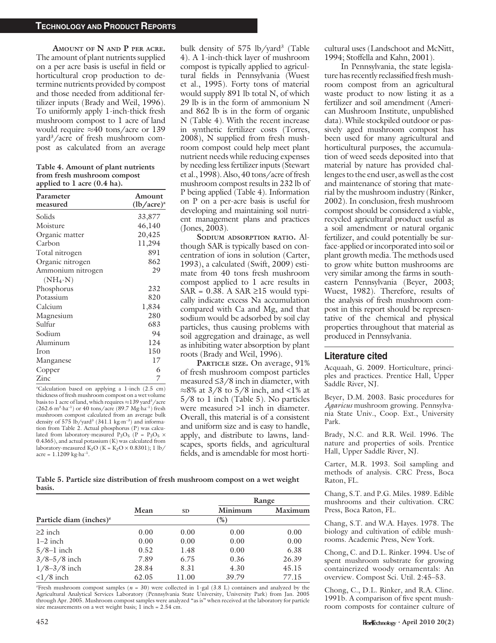#### TECHNOLOGY AND PRODUCT REPORTS

AMOUNT OF N AND P PER ACRE. The amount of plant nutrients supplied on a per acre basis is useful in field or horticultural crop production to determine nutrients provided by compost and those needed from additional fertilizer inputs (Brady and Weil, 1996). To uniformly apply 1-inch-thick fresh mushroom compost to 1 acre of land would require  $\approx 40$  tons/acre or 139 yard3 /acre of fresh mushroom compost as calculated from an average

Table 4. Amount of plant nutrients from fresh mushroom compost applied to 1 acre (0.4 ha).

| Parameter<br>measured | Amount<br>$(lb/acre)^{z}$ |
|-----------------------|---------------------------|
| Solids                | 33,877                    |
| Moisture              | 46,140                    |
| Organic matter        | 20,425                    |
| Carbon                | 11,294                    |
| Total nitrogen        | 891                       |
| Organic nitrogen      | 862                       |
| Ammonium nitrogen     | 29                        |
| $(NH_4-N)$            |                           |
| Phosphorus            | 232                       |
| Potassium             | 820                       |
| Calcium               | 1,834                     |
| Magnesium             | 280                       |
| Sulfur                | 683                       |
| Sodium                | 94                        |
| Aluminum              | 124                       |
| Iron                  | 150                       |
| Manganese             | 17                        |
| Copper                | 6                         |
| Zinc                  | 7                         |

z Calculation based on applying a 1-inch (2.5 cm) thickness of fresh mushroom compost on a wet volume basis to 1 acre of land, which requires  $\approx$  139 yard<sup>3</sup>/acre  $(262.6 \text{ m}^3 \cdot \text{ha}^{-1})$  or 40 tons/acre (89.7 Mg $\cdot$ ha<sup>-1</sup>) fresh mushroom compost calculated from an average bulk density of 575 lb/yard<sup>3</sup> (341.1 kg·m<sup>-3</sup>) and information from Table 2. Actual phosphorus (P) was calculated from laboratory-measured P<sub>2</sub>O<sub>5</sub> (P = P<sub>2</sub>O<sub>5</sub>  $\times$ 0.4365), and actual potassium (K) was calculated from laboratory-measured K<sub>2</sub>O (K = K<sub>2</sub>O  $\times$  0.8301); 1 lb/  $\text{acre} = 1.1209 \text{ kg} \cdot \text{ha}^{-1}.$ 

bulk density of  $575$  lb/yard<sup>3</sup> (Table 4). A 1-inch-thick layer of mushroom compost is typically applied to agricultural fields in Pennsylvania (Wuest et al., 1995). Forty tons of material would supply 891 lb total N, of which 29 lb is in the form of ammonium N and 862 lb is in the form of organic N (Table 4). With the recent increase in synthetic fertilizer costs (Torres, 2008), N supplied from fresh mushroom compost could help meet plant nutrient needs while reducing expenses by needing less fertilizer inputs (Stewart et al., 1998). Also, 40 tons/acre of fresh mushroom compost results in 232 lb of P being applied (Table 4). Information on P on a per-acre basis is useful for developing and maintaining soil nutrient management plans and practices (Jones, 2003).

SODIUM ADSORPTION RATIO. Although SAR is typically based on concentration of ions in solution (Carter, 1993), a calculated (Swift, 2009) estimate from 40 tons fresh mushroom compost applied to 1 acre results in  $SAR = 0.38$ . A  $SAR \ge 15$  would typically indicate excess Na accumulation compared with Ca and Mg, and that sodium would be adsorbed by soil clay particles, thus causing problems with soil aggregation and drainage, as well as inhibiting water absorption by plant roots (Brady and Weil, 1996).

PARTICLE SIZE. On average, 91% of fresh mushroom compost particles measured  $\leq$ 3/8 inch in diameter, with  $\approx$ 8% at 3/8 to 5/8 inch, and <1% at 5/8 to 1 inch (Table 5). No particles were measured >1 inch in diameter. Overall, this material is of a consistent and uniform size and is easy to handle, apply, and distribute to lawns, landscapes, sports fields, and agricultural fields, and is amendable for most horti-

Table 5. Particle size distribution of fresh mushroom compost on a wet weight basis.

|                                                  |        |           |         | Range   |  |  |
|--------------------------------------------------|--------|-----------|---------|---------|--|--|
|                                                  | Mean   | <b>SD</b> | Minimum | Maximum |  |  |
| Particle diam (inches) <sup><math>z</math></sup> | $(\%)$ |           |         |         |  |  |
| $\geq$ inch                                      | 0.00   | 0.00      | 0.00    | 0.00    |  |  |
| $1-2$ inch                                       | 0.00   | 0.00      | 0.00    | 0.00    |  |  |
| $5/8-1$ inch                                     | 0.52   | 1.48      | 0.00    | 6.38    |  |  |
| $3/8 - 5/8$ inch                                 | 7.89   | 6.75      | 0.36    | 26.39   |  |  |
| $1/8 - 3/8$ inch                                 | 28.84  | 8.31      | 4.30    | 45.15   |  |  |
| $<1/8$ inch                                      | 62.05  | 11.00     | 39.79   | 77.15   |  |  |

 $z$ Fresh mushroom compost samples ( $n = 30$ ) were collected in 1-gal (3.8 L) containers and analyzed by the Agricultural Analytical Services Laboratory (Pennsylvania State University, University Park) from Jan. 2005 through Apr. 2005. Mushroom compost samples were analyzed ''as is'' when received at the laboratory for particle size measurements on a wet weight basis; 1 inch = 2.54 cm.

cultural uses (Landschoot and McNitt, 1994; Stoffella and Kahn, 2001).

In Pennsylvania, the state legislature has recently reclassified fresh mushroom compost from an agricultural waste product to now listing it as a fertilizer and soil amendment (American Mushroom Institute, unpublished data). While stockpiled outdoor or passively aged mushroom compost has been used for many agricultural and horticultural purposes, the accumulation of weed seeds deposited into that material by nature has provided challenges to the end user, as well as the cost and maintenance of storing that material by the mushroom industry (Rinker, 2002). In conclusion, fresh mushroom compost should be considered a viable, recycled agricultural product useful as a soil amendment or natural organic fertilizer, and could potentially be surface-applied or incorporated into soil or plant growth media. The methods used to grow white button mushrooms are very similar among the farms in southeastern Pennsylvania (Beyer, 2003; Wuest, 1982). Therefore, results of the analysis of fresh mushroom compost in this report should be representative of the chemical and physical properties throughout that material as produced in Pennsylvania.

## Literature cited

Acquaah, G. 2009. Horticulture, principles and practices. Prentice Hall, Upper Saddle River, NJ.

Beyer, D.M. 2003. Basic procedures for Agaricus mushroom growing. Pennsylvania State Univ., Coop. Ext., University Park.

Brady, N.C. and R.R. Weil. 1996. The nature and properties of soils. Prentice Hall, Upper Saddle River, NJ.

Carter, M.R. 1993. Soil sampling and methods of analysis. CRC Press, Boca Raton, FL.

Chang, S.T. and P.G. Miles. 1989. Edible mushrooms and their cultivation. CRC Press, Boca Raton, FL.

Chang, S.T. and W.A. Hayes. 1978. The biology and cultivation of edible mushrooms. Academic Press, New York.

Chong, C. and D.L. Rinker. 1994. Use of spent mushroom substrate for growing containerized woody ornamentals: An overview. Compost Sci. Util. 2:45–53.

Chong, C., D.L. Rinker, and R.A. Cline. 1991b. A comparison of five spent mushroom composts for container culture of